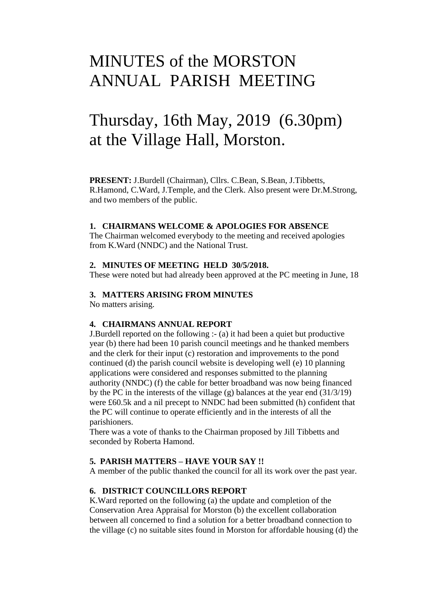## MINUTES of the MORSTON ANNUAL PARISH MEETING

# Thursday, 16th May, 2019 (6.30pm) at the Village Hall, Morston.

**PRESENT:** J.Burdell (Chairman), Cllrs. C.Bean, S.Bean, J.Tibbetts, R.Hamond, C.Ward, J.Temple, and the Clerk. Also present were Dr.M.Strong, and two members of the public.

#### **1. CHAIRMANS WELCOME & APOLOGIES FOR ABSENCE**

The Chairman welcomed everybody to the meeting and received apologies from K.Ward (NNDC) and the National Trust.

#### **2. MINUTES OF MEETING HELD 30/5/2018.**

These were noted but had already been approved at the PC meeting in June, 18

#### **3. MATTERS ARISING FROM MINUTES**

No matters arising.

#### **4. CHAIRMANS ANNUAL REPORT**

J.Burdell reported on the following :- (a) it had been a quiet but productive year (b) there had been 10 parish council meetings and he thanked members and the clerk for their input (c) restoration and improvements to the pond continued (d) the parish council website is developing well (e) 10 planning applications were considered and responses submitted to the planning authority (NNDC) (f) the cable for better broadband was now being financed by the PC in the interests of the village  $(g)$  balances at the year end  $(31/3/19)$ were £60.5k and a nil precept to NNDC had been submitted (h) confident that the PC will continue to operate efficiently and in the interests of all the parishioners.

There was a vote of thanks to the Chairman proposed by Jill Tibbetts and seconded by Roberta Hamond.

#### **5. PARISH MATTERS – HAVE YOUR SAY !!**

A member of the public thanked the council for all its work over the past year.

#### **6. DISTRICT COUNCILLORS REPORT**

K.Ward reported on the following (a) the update and completion of the Conservation Area Appraisal for Morston (b) the excellent collaboration between all concerned to find a solution for a better broadband connection to the village (c) no suitable sites found in Morston for affordable housing (d) the